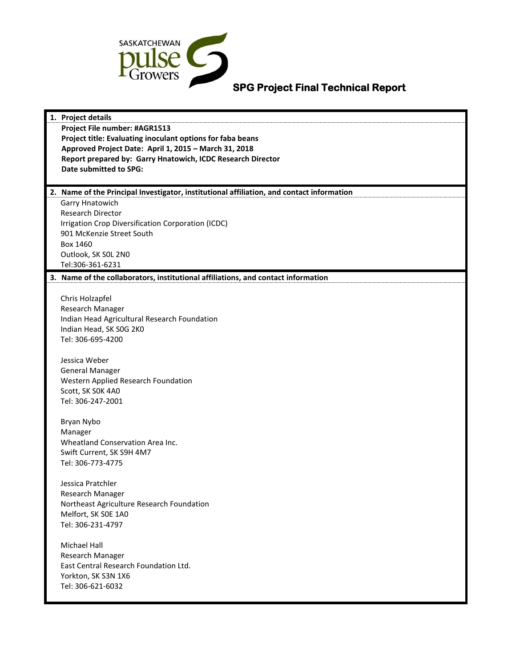

# **SPG Project Final Technical Report**

| 1. Project details                                                                        |  |
|-------------------------------------------------------------------------------------------|--|
| Project File number: #AGR1513                                                             |  |
| Project title: Evaluating inoculant options for faba beans                                |  |
| Approved Project Date: April 1, 2015 - March 31, 2018                                     |  |
| Report prepared by: Garry Hnatowich, ICDC Research Director                               |  |
| <b>Date submitted to SPG:</b>                                                             |  |
|                                                                                           |  |
| 2. Name of the Principal Investigator, institutional affiliation, and contact information |  |
| Garry Hnatowich                                                                           |  |
| <b>Research Director</b>                                                                  |  |
| Irrigation Crop Diversification Corporation (ICDC)                                        |  |
| 901 McKenzie Street South                                                                 |  |
| Box 1460                                                                                  |  |
| Outlook, SK SOL 2N0                                                                       |  |
| Tel:306-361-6231                                                                          |  |
| 3. Name of the collaborators, institutional affiliations, and contact information         |  |
|                                                                                           |  |
| Chris Holzapfel                                                                           |  |
| Research Manager                                                                          |  |
| Indian Head Agricultural Research Foundation                                              |  |
| Indian Head, SK SOG 2KO                                                                   |  |
| Tel: 306-695-4200                                                                         |  |
|                                                                                           |  |
| Jessica Weber                                                                             |  |
| <b>General Manager</b>                                                                    |  |
| Western Applied Research Foundation                                                       |  |
| Scott, SK SOK 4A0                                                                         |  |
| Tel: 306-247-2001                                                                         |  |
| Bryan Nybo                                                                                |  |
| Manager                                                                                   |  |
| Wheatland Conservation Area Inc.                                                          |  |
| Swift Current, SK S9H 4M7                                                                 |  |
| Tel: 306-773-4775                                                                         |  |
|                                                                                           |  |
| Jessica Pratchler                                                                         |  |
| Research Manager                                                                          |  |
| Northeast Agriculture Research Foundation                                                 |  |
| Melfort, SK SOE 1A0                                                                       |  |
| Tel: 306-231-4797                                                                         |  |
|                                                                                           |  |
| <b>Michael Hall</b>                                                                       |  |
| Research Manager                                                                          |  |
| East Central Research Foundation Ltd.                                                     |  |
| Yorkton, SK S3N 1X6                                                                       |  |
| Tel: 306-621-6032                                                                         |  |
|                                                                                           |  |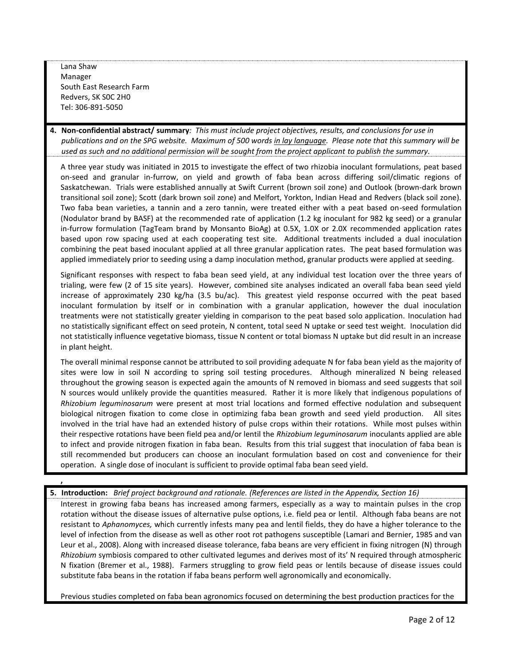Lana Shaw Manager South East Research Farm Redvers, SK S0C 2H0 Tel: 306-891-5050

**,**

**4. Non-confidential abstract/ summary***: This must include project objectives, results, and conclusions for use in publications and on the SPG website. Maximum of 500 words in lay language. Please note that this summary will be used as such and no additional permission will be sought from the project applicant to publish the summary.* 

A three year study was initiated in 2015 to investigate the effect of two rhizobia inoculant formulations, peat based on-seed and granular in-furrow, on yield and growth of faba bean across differing soil/climatic regions of Saskatchewan. Trials were established annually at Swift Current (brown soil zone) and Outlook (brown-dark brown transitional soil zone); Scott (dark brown soil zone) and Melfort, Yorkton, Indian Head and Redvers (black soil zone). Two faba bean varieties, a tannin and a zero tannin, were treated either with a peat based on-seed formulation (Nodulator brand by BASF) at the recommended rate of application (1.2 kg inoculant for 982 kg seed) or a granular in-furrow formulation (TagTeam brand by Monsanto BioAg) at 0.5X, 1.0X or 2.0X recommended application rates based upon row spacing used at each cooperating test site. Additional treatments included a dual inoculation combining the peat based inoculant applied at all three granular application rates. The peat based formulation was applied immediately prior to seeding using a damp inoculation method, granular products were applied at seeding.

Significant responses with respect to faba bean seed yield, at any individual test location over the three years of trialing, were few (2 of 15 site years). However, combined site analyses indicated an overall faba bean seed yield increase of approximately 230 kg/ha (3.5 bu/ac). This greatest yield response occurred with the peat based inoculant formulation by itself or in combination with a granular application, however the dual inoculation treatments were not statistically greater yielding in comparison to the peat based solo application. Inoculation had no statistically significant effect on seed protein, N content, total seed N uptake or seed test weight. Inoculation did not statistically influence vegetative biomass, tissue N content or total biomass N uptake but did result in an increase in plant height.

The overall minimal response cannot be attributed to soil providing adequate N for faba bean yield as the majority of sites were low in soil N according to spring soil testing procedures. Although mineralized N being released throughout the growing season is expected again the amounts of N removed in biomass and seed suggests that soil N sources would unlikely provide the quantities measured. Rather it is more likely that indigenous populations of *Rhizobium leguminosarum* were present at most trial locations and formed effective nodulation and subsequent biological nitrogen fixation to come close in optimizing faba bean growth and seed yield production. All sites involved in the trial have had an extended history of pulse crops within their rotations. While most pulses within their respective rotations have been field pea and/or lentil the *Rhizobium leguminosarum* inoculants applied are able to infect and provide nitrogen fixation in faba bean. Results from this trial suggest that inoculation of faba bean is still recommended but producers can choose an inoculant formulation based on cost and convenience for their operation. A single dose of inoculant is sufficient to provide optimal faba bean seed yield.

**5. Introduction:** *Brief project background and rationale. (References are listed in the Appendix, Section 16)*

Interest in growing faba beans has increased among farmers, especially as a way to maintain pulses in the crop rotation without the disease issues of alternative pulse options, i.e. field pea or lentil. Although faba beans are not resistant to *Aphanomyces,* which currently infests many pea and lentil fields, they do have a higher tolerance to the level of infection from the disease as well as other root rot pathogens susceptible [\(Lamari and Bernier, 1985](http://www.sciencedirect.com.cyber.usask.ca/science/article/pii/S0378429009002470#bib81) and [van](http://www.sciencedirect.com.cyber.usask.ca/science/article/pii/S0378429009002470#bib155)  [Leur et al., 2008\)](http://www.sciencedirect.com.cyber.usask.ca/science/article/pii/S0378429009002470#bib155). Along with increased disease tolerance, faba beans are very efficient in fixing nitrogen (N) through *Rhizobium* symbiosis compared to other cultivated legumes and derives most of its' N required through atmospheric N fixation (Bremer et al., 1988). Farmers struggling to grow field peas or lentils because of disease issues could substitute faba beans in the rotation if faba beans perform well agronomically and economically.

Previous studies completed on faba bean agronomics focused on determining the best production practices for the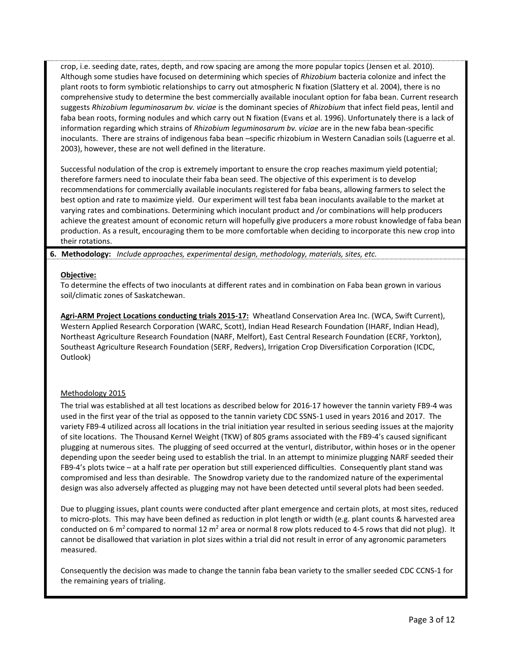crop, i.e. seeding date, rates, depth, and row spacing are among the more popular topics (Jensen et al. 2010). Although some studies have focused on determining which species of *Rhizobium* bacteria colonize and infect the plant roots to form symbiotic relationships to carry out atmospheric N fixation (Slattery et al. 2004), there is no comprehensive study to determine the best commercially available inoculant option for faba bean. Current research suggests *Rhizobium leguminosarum bv. viciae* is the dominant species of *Rhizobium* that infect field peas, lentil and faba bean roots, forming nodules and which carry out N fixation (Evans et al. 1996). Unfortunately there is a lack of information regarding which strains of *Rhizobium leguminosarum bv. viciae* are in the new faba bean-specific inoculants. There are strains of indigenous faba bean –specific rhizobium in Western Canadian soils (Laguerre et al. 2003), however, these are not well defined in the literature.

Successful nodulation of the crop is extremely important to ensure the crop reaches maximum yield potential; therefore farmers need to inoculate their faba bean seed. The objective of this experiment is to develop recommendations for commercially available inoculants registered for faba beans, allowing farmers to select the best option and rate to maximize yield. Our experiment will test faba bean inoculants available to the market at varying rates and combinations. Determining which inoculant product and /or combinations will help producers achieve the greatest amount of economic return will hopefully give producers a more robust knowledge of faba bean production. As a result, encouraging them to be more comfortable when deciding to incorporate this new crop into their rotations.

### **6. Methodology:** *Include approaches, experimental design, methodology, materials, sites, etc.*

#### **Objective:**

To determine the effects of two inoculants at different rates and in combination on Faba bean grown in various soil/climatic zones of Saskatchewan.

**Agri-ARM Project Locations conducting trials 2015-17:** Wheatland Conservation Area Inc. (WCA, Swift Current), Western Applied Research Corporation (WARC, Scott), Indian Head Research Foundation (IHARF, Indian Head), Northeast Agriculture Research Foundation (NARF, Melfort), East Central Research Foundation (ECRF, Yorkton), Southeast Agriculture Research Foundation (SERF, Redvers), Irrigation Crop Diversification Corporation (ICDC, Outlook)

### Methodology 2015

The trial was established at all test locations as described below for 2016-17 however the tannin variety FB9-4 was used in the first year of the trial as opposed to the tannin variety CDC SSNS-1 used in years 2016 and 2017. The variety FB9-4 utilized across all locations in the trial initiation year resulted in serious seeding issues at the majority of site locations. The Thousand Kernel Weight (TKW) of 805 grams associated with the FB9-4's caused significant plugging at numerous sites. The plugging of seed occurred at the venturI, distributor, within hoses or in the opener depending upon the seeder being used to establish the trial. In an attempt to minimize plugging NARF seeded their FB9-4's plots twice – at a half rate per operation but still experienced difficulties. Consequently plant stand was compromised and less than desirable. The Snowdrop variety due to the randomized nature of the experimental design was also adversely affected as plugging may not have been detected until several plots had been seeded.

Due to plugging issues, plant counts were conducted after plant emergence and certain plots, at most sites, reduced to micro-plots. This may have been defined as reduction in plot length or width (e.g. plant counts & harvested area conducted on 6 m<sup>2</sup> compared to normal 12 m<sup>2</sup> area or normal 8 row plots reduced to 4-5 rows that did not plug). It cannot be disallowed that variation in plot sizes within a trial did not result in error of any agronomic parameters measured.

Consequently the decision was made to change the tannin faba bean variety to the smaller seeded CDC CCNS-1 for the remaining years of trialing.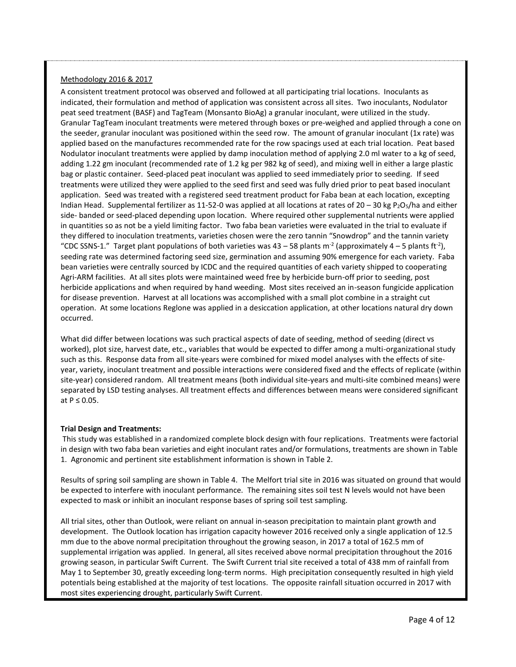#### Methodology 2016 & 2017

A consistent treatment protocol was observed and followed at all participating trial locations. Inoculants as indicated, their formulation and method of application was consistent across all sites. Two inoculants, Nodulator peat seed treatment (BASF) and TagTeam (Monsanto BioAg) a granular inoculant, were utilized in the study. Granular TagTeam inoculant treatments were metered through boxes or pre-weighed and applied through a cone on the seeder, granular inoculant was positioned within the seed row. The amount of granular inoculant (1x rate) was applied based on the manufactures recommended rate for the row spacings used at each trial location. Peat based Nodulator inoculant treatments were applied by damp inoculation method of applying 2.0 ml water to a kg of seed, adding 1.22 gm inoculant (recommended rate of 1.2 kg per 982 kg of seed), and mixing well in either a large plastic bag or plastic container. Seed-placed peat inoculant was applied to seed immediately prior to seeding. If seed treatments were utilized they were applied to the seed first and seed was fully dried prior to peat based inoculant application. Seed was treated with a registered seed treatment product for Faba bean at each location, excepting Indian Head. Supplemental fertilizer as 11-52-0 was applied at all locations at rates of  $20 - 30$  kg P<sub>2</sub>O<sub>5</sub>/ha and either side- banded or seed-placed depending upon location. Where required other supplemental nutrients were applied in quantities so as not be a yield limiting factor. Two faba bean varieties were evaluated in the trial to evaluate if they differed to inoculation treatments, varieties chosen were the zero tannin "Snowdrop" and the tannin variety "CDC SSNS-1." Target plant populations of both varieties was 43 – 58 plants m<sup>-2</sup> (approximately 4 – 5 plants ft<sup>-2</sup>), seeding rate was determined factoring seed size, germination and assuming 90% emergence for each variety. Faba bean varieties were centrally sourced by ICDC and the required quantities of each variety shipped to cooperating Agri-ARM facilities. At all sites plots were maintained weed free by herbicide burn-off prior to seeding, post herbicide applications and when required by hand weeding. Most sites received an in-season fungicide application for disease prevention. Harvest at all locations was accomplished with a small plot combine in a straight cut operation. At some locations Reglone was applied in a desiccation application, at other locations natural dry down occurred.

What did differ between locations was such practical aspects of date of seeding, method of seeding (direct vs worked), plot size, harvest date, etc., variables that would be expected to differ among a multi-organizational study such as this. Response data from all site-years were combined for mixed model analyses with the effects of siteyear, variety, inoculant treatment and possible interactions were considered fixed and the effects of replicate (within site-year) considered random. All treatment means (both individual site-years and multi-site combined means) were separated by LSD testing analyses. All treatment effects and differences between means were considered significant at  $P \leq 0.05$ .

### **Trial Design and Treatments:**

This study was established in a randomized complete block design with four replications. Treatments were factorial in design with two faba bean varieties and eight inoculant rates and/or formulations, treatments are shown in Table 1. Agronomic and pertinent site establishment information is shown in Table 2.

Results of spring soil sampling are shown in Table 4. The Melfort trial site in 2016 was situated on ground that would be expected to interfere with inoculant performance. The remaining sites soil test N levels would not have been expected to mask or inhibit an inoculant response bases of spring soil test sampling.

All trial sites, other than Outlook, were reliant on annual in-season precipitation to maintain plant growth and development. The Outlook location has irrigation capacity however 2016 received only a single application of 12.5 mm due to the above normal precipitation throughout the growing season, in 2017 a total of 162.5 mm of supplemental irrigation was applied. In general, all sites received above normal precipitation throughout the 2016 growing season, in particular Swift Current. The Swift Current trial site received a total of 438 mm of rainfall from May 1 to September 30, greatly exceeding long-term norms. High precipitation consequently resulted in high yield potentials being established at the majority of test locations. The opposite rainfall situation occurred in 2017 with most sites experiencing drought, particularly Swift Current.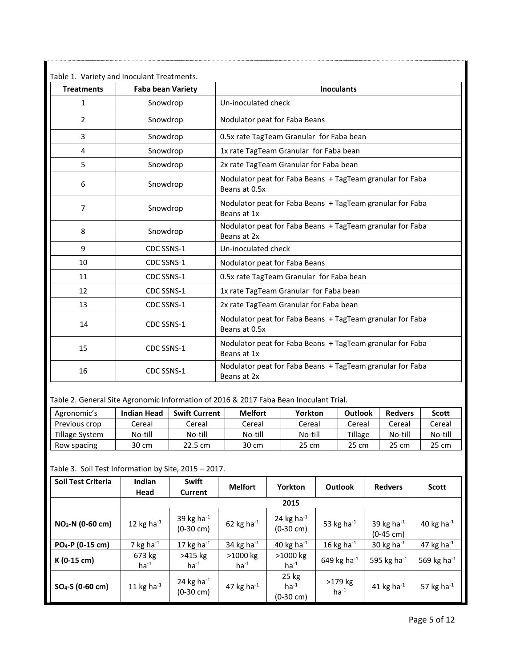| <b>Treatments</b> | <b>Faba bean Variety</b> | <b>Inoculants</b>                                                          |
|-------------------|--------------------------|----------------------------------------------------------------------------|
| 1                 | Snowdrop                 | Un-inoculated check                                                        |
| 2                 | Snowdrop                 | Nodulator peat for Faba Beans                                              |
| 3                 | Snowdrop                 | 0.5x rate TagTeam Granular for Faba bean                                   |
| 4                 | Snowdrop                 | 1x rate TagTeam Granular for Faba bean                                     |
| 5                 | Snowdrop                 | 2x rate TagTeam Granular for Faba bean                                     |
| 6                 | Snowdrop                 | Nodulator peat for Faba Beans + TagTeam granular for Faba<br>Beans at 0.5x |
| 7                 | Snowdrop                 | Nodulator peat for Faba Beans + TagTeam granular for Faba<br>Beans at 1x   |
| 8                 | Snowdrop                 | Nodulator peat for Faba Beans + TagTeam granular for Faba<br>Beans at 2x   |
| 9                 | CDC SSNS-1               | Un-inoculated check                                                        |
| 10                | CDC SSNS-1               | Nodulator peat for Faba Beans                                              |
| 11                | CDC SSNS-1               | 0.5x rate TagTeam Granular for Faba bean                                   |
| 12                | CDC SSNS-1               | 1x rate TagTeam Granular for Faba bean                                     |
| 13                | CDC SSNS-1               | 2x rate TagTeam Granular for Faba bean                                     |
| 14                | CDC SSNS-1               | Nodulator peat for Faba Beans + TagTeam granular for Faba<br>Beans at 0.5x |
| 15                | CDC SSNS-1               | Nodulator peat for Faba Beans + TagTeam granular for Faba<br>Beans at 1x   |
| 16                | CDC SSNS-1               | Nodulator peat for Faba Beans + TagTeam granular for Faba<br>Beans at 2x   |

Table 2. General Site Agronomic Information of 2016 & 2017 Faba Bean Inoculant Trial.

| Agronomic's    | <b>Indian Head</b> | <b>Swift Current</b> | <b>Melfort</b> | Yorkton | Outlook | <b>Redvers</b> | <b>Scott</b> |
|----------------|--------------------|----------------------|----------------|---------|---------|----------------|--------------|
| Previous crop  | ∵ereal             | Cereal               | Cereal         | Cereal  | Cereal  | Cereal         | Cereal       |
| Tillage System | No-till            | No-till              | No-till        | No-till | Tillage | No-till        | No-till      |
| Row spacing    | 30 cm              | 22.5 cm              | 30 cm          | 25 cm   | 25 cm   | 25 cm          | 25 cm        |

Table 3. Soil Test Information by Site, 2015 – 2017.

| Soil Test Criteria           | Indian<br>Head      | <b>Swift</b><br><b>Current</b>          | <b>Melfort</b>          | <b>Yorkton</b>                          | <b>Outlook</b>       | <b>Redvers</b>                          | <b>Scott</b>      |  |  |
|------------------------------|---------------------|-----------------------------------------|-------------------------|-----------------------------------------|----------------------|-----------------------------------------|-------------------|--|--|
|                              |                     |                                         |                         | 2015                                    |                      |                                         |                   |  |  |
| NO <sub>3</sub> -N (0-60 cm) | 12 kg ha $^{-1}$    | 39 kg ha $^{-1}$<br>$(0-30 \text{ cm})$ | 62 kg ha $^{-1}$        | 24 kg ha $^{-1}$<br>$(0-30 \text{ cm})$ | 53 kg ha $^{-1}$     | 39 kg ha $^{-1}$<br>$(0-45 \text{ cm})$ | 40 kg ha $^{-1}$  |  |  |
| PO <sub>4</sub> -P (0-15 cm) | 7 kg ha $^{-1}$     | 17 kg ha $^{-1}$                        | 34 kg ha $^{-1}$        | 40 kg ha $^{-1}$                        | 16 kg ha $^{-1}$     | 30 kg ha $^{-1}$                        | 47 kg ha $^{-1}$  |  |  |
| K (0-15 cm)                  | 673 kg<br>$ha^{-1}$ | >415 kg<br>$ha^{-1}$                    | $>1000$ kg<br>$ha^{-1}$ | $>1000$ kg<br>$ha^{-1}$                 | 649 kg ha $^{-1}$    | 595 kg ha $^{-1}$                       | 569 kg ha $^{-1}$ |  |  |
| $SO_4-S$ (0-60 cm)           | 11 kg ha $^{-1}$    | 24 kg ha $^{-1}$<br>$(0-30 \text{ cm})$ | 47 kg ha $^{-1}$        | 25 kg<br>$ha^{-1}$<br>(0-30 cm)         | >179 kg<br>$ha^{-1}$ | 41 kg ha $^{-1}$                        | 57 kg ha $^{-1}$  |  |  |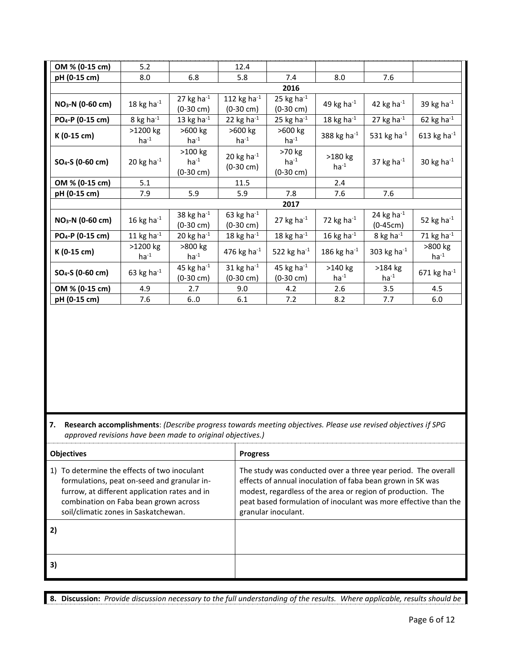| OM % (0-15 cm)               | 5.2                     |                                               | 12.4                                     |                                            |                      |                                |                      |  |  |  |  |
|------------------------------|-------------------------|-----------------------------------------------|------------------------------------------|--------------------------------------------|----------------------|--------------------------------|----------------------|--|--|--|--|
| pH (0-15 cm)                 | 8.0                     | 6.8                                           | 5.8                                      | 8.0<br>7.4                                 |                      | 7.6                            |                      |  |  |  |  |
|                              |                         | 2016                                          |                                          |                                            |                      |                                |                      |  |  |  |  |
| NO <sub>3</sub> -N (0-60 cm) | 18 kg ha $^{-1}$        | 27 kg ha $^{-1}$<br>$(0-30 \text{ cm})$       | 112 kg ha $^{-1}$<br>$(0-30 \text{ cm})$ | 25 kg ha $^{-1}$<br>$(0-30 \text{ cm})$    | 49 kg ha $^{-1}$     | 42 kg ha $^{-1}$               | 39 kg ha $^{-1}$     |  |  |  |  |
| PO <sub>4</sub> -P (0-15 cm) | 8 kg ha $^{-1}$         | 13 kg ha $^{-1}$                              | 22 kg ha $^{-1}$                         | 25 kg ha $^{-1}$                           | 18 kg ha $^{-1}$     | 27 kg ha $^{-1}$               | 62 kg ha $^{-1}$     |  |  |  |  |
| K (0-15 cm)                  | $>1200$ kg<br>$ha^{-1}$ | >600 kg<br>$ha^{-1}$                          | >600 kg<br>$ha^{-1}$                     | >600 kg<br>$ha^{-1}$                       | 388 kg ha $^{-1}$    | 531 kg ha $^{-1}$              | 613 kg ha $^{-1}$    |  |  |  |  |
| $SO_4-S$ (0-60 cm)           | 20 kg ha $^{-1}$        | $>100$ kg<br>$ha^{-1}$<br>$(0-30 \text{ cm})$ | 20 kg ha $^{-1}$<br>$(0-30 \text{ cm})$  | >70 kg<br>$ha^{-1}$<br>$(0-30 \text{ cm})$ | >180 kg<br>$ha^{-1}$ | 37 kg ha $^{-1}$               | 30 kg ha $^{-1}$     |  |  |  |  |
| OM % (0-15 cm)               | 5.1                     |                                               | 11.5                                     |                                            | 2.4                  |                                |                      |  |  |  |  |
| pH (0-15 cm)                 | 7.9                     | 5.9                                           | 5.9                                      | 7.8                                        | 7.6                  | 7.6                            |                      |  |  |  |  |
|                              |                         |                                               |                                          | 2017                                       |                      |                                |                      |  |  |  |  |
| NO <sub>3</sub> -N (0-60 cm) | 16 kg ha $^{-1}$        | 38 kg ha $^{-1}$<br>$(0-30 \text{ cm})$       | 63 kg ha $^{-1}$<br>$(0-30 \text{ cm})$  | 27 kg ha $^{-1}$                           | 72 kg ha $^{-1}$     | 24 kg ha $^{-1}$<br>$(0-45cm)$ | 52 kg ha $^{-1}$     |  |  |  |  |
| PO <sub>4</sub> -P (0-15 cm) | 11 kg ha $^{-1}$        | 20 kg ha $^{-1}$                              | 18 kg ha $^{-1}$                         | 18 kg ha $^{-1}$                           | 16 kg ha $^{-1}$     | 8 kg ha $^{-1}$                | 71 kg ha $^{-1}$     |  |  |  |  |
| K (0-15 cm)                  | >1200 kg<br>$ha^{-1}$   | >800 kg<br>$ha^{-1}$                          | 476 kg ha $^{-1}$                        | 522 kg ha $^{-1}$                          | 186 kg ha $^{-1}$    | 303 kg ha $^{-1}$              | >800 kg<br>$ha^{-1}$ |  |  |  |  |
| SO <sub>4</sub> -S (0-60 cm) | 63 kg ha $^{-1}$        | 45 kg ha $^{-1}$<br>$(0-30 \text{ cm})$       | 31 kg ha $^{-1}$<br>$(0-30 \text{ cm})$  | 45 kg ha $^{-1}$<br>$(0-30 \text{ cm})$    | >140 kg<br>$ha^{-1}$ | >184 kg<br>$ha^{-1}$           | 671 kg ha $^{-1}$    |  |  |  |  |
| OM % (0-15 cm)               | 4.9                     | 2.7                                           | 9.0                                      | 4.2                                        | 2.6                  | 3.5                            | 4.5                  |  |  |  |  |
| pH (0-15 cm)                 | 7.6                     | 6.0                                           | 6.1                                      | 7.2                                        | 8.2                  | 7.7                            | 6.0                  |  |  |  |  |

**7. Research accomplishments**: *(Describe progress towards meeting objectives. Please use revised objectives if SPG approved revisions have been made to original objectives.)*

| <b>Objectives</b>                                                                                                                                                                                                             | <b>Progress</b>                                                                                                                                                                                                                                                                      |
|-------------------------------------------------------------------------------------------------------------------------------------------------------------------------------------------------------------------------------|--------------------------------------------------------------------------------------------------------------------------------------------------------------------------------------------------------------------------------------------------------------------------------------|
| 1) To determine the effects of two inoculant<br>formulations, peat on-seed and granular in-<br>furrow, at different application rates and in<br>combination on Faba bean grown across<br>soil/climatic zones in Saskatchewan. | The study was conducted over a three year period. The overall<br>effects of annual inoculation of faba bean grown in SK was<br>modest, regardless of the area or region of production. The<br>peat based formulation of inoculant was more effective than the<br>granular inoculant. |
| 2)                                                                                                                                                                                                                            |                                                                                                                                                                                                                                                                                      |
| $\vert$ 3                                                                                                                                                                                                                     |                                                                                                                                                                                                                                                                                      |

**8. Discussion:** *Provide discussion necessary to the full understanding of the results. Where applicable, results should be*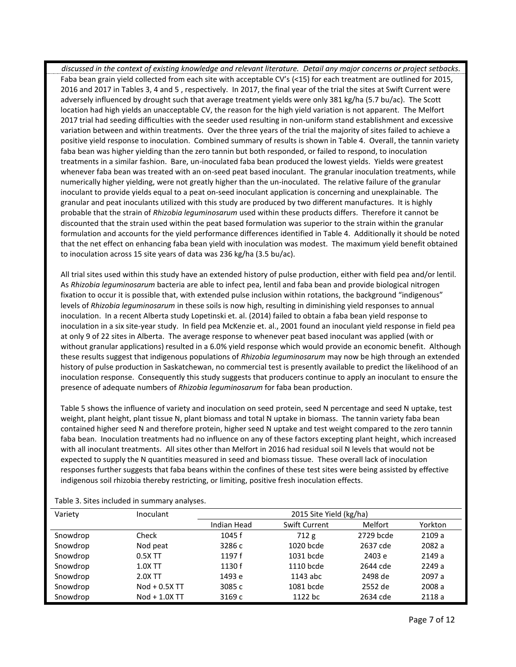*discussed in the context of existing knowledge and relevant literature. Detail any major concerns or project setbacks.* Faba bean grain yield collected from each site with acceptable CV's (<15) for each treatment are outlined for 2015, 2016 and 2017 in Tables 3, 4 and 5 , respectively. In 2017, the final year of the trial the sites at Swift Current were adversely influenced by drought such that average treatment yields were only 381 kg/ha (5.7 bu/ac). The Scott location had high yields an unacceptable CV, the reason for the high yield variation is not apparent. The Melfort 2017 trial had seeding difficulties with the seeder used resulting in non-uniform stand establishment and excessive variation between and within treatments. Over the three years of the trial the majority of sites failed to achieve a positive yield response to inoculation. Combined summary of results is shown in Table 4. Overall, the tannin variety faba bean was higher yielding than the zero tannin but both responded, or failed to respond, to inoculation treatments in a similar fashion. Bare, un-inoculated faba bean produced the lowest yields. Yields were greatest whenever faba bean was treated with an on-seed peat based inoculant. The granular inoculation treatments, while numerically higher yielding, were not greatly higher than the un-inoculated. The relative failure of the granular inoculant to provide yields equal to a peat on-seed inoculant application is concerning and unexplainable. The granular and peat inoculants utilized with this study are produced by two different manufactures. It is highly probable that the strain of *Rhizobia leguminosarum* used within these products differs. Therefore it cannot be discounted that the strain used within the peat based formulation was superior to the strain within the granular formulation and accounts for the yield performance differences identified in Table 4. Additionally it should be noted that the net effect on enhancing faba bean yield with inoculation was modest. The maximum yield benefit obtained to inoculation across 15 site years of data was 236 kg/ha (3.5 bu/ac).

All trial sites used within this study have an extended history of pulse production, either with field pea and/or lentil. As *Rhizobia leguminosarum* bacteria are able to infect pea, lentil and faba bean and provide biological nitrogen fixation to occur it is possible that, with extended pulse inclusion within rotations, the background "indigenous" levels of *Rhizobia leguminosarum* in these soils is now high, resulting in diminishing yield responses to annual inoculation. In a recent Alberta study Lopetinski et. al. (2014) failed to obtain a faba bean yield response to inoculation in a six site-year study. In field pea McKenzie et. al., 2001 found an inoculant yield response in field pea at only 9 of 22 sites in Alberta. The average response to whenever peat based inoculant was applied (with or without granular applications) resulted in a 6.0% yield response which would provide an economic benefit. Although these results suggest that indigenous populations of *Rhizobia leguminosarum* may now be high through an extended history of pulse production in Saskatchewan, no commercial test is presently available to predict the likelihood of an inoculation response. Consequently this study suggests that producers continue to apply an inoculant to ensure the presence of adequate numbers of *Rhizobia leguminosarum* for faba bean production.

Table 5 shows the influence of variety and inoculation on seed protein, seed N percentage and seed N uptake, test weight, plant height, plant tissue N, plant biomass and total N uptake in biomass. The tannin variety faba bean contained higher seed N and therefore protein, higher seed N uptake and test weight compared to the zero tannin faba bean. Inoculation treatments had no influence on any of these factors excepting plant height, which increased with all inoculant treatments. All sites other than Melfort in 2016 had residual soil N levels that would not be expected to supply the N quantities measured in seed and biomass tissue. These overall lack of inoculation responses further suggests that faba beans within the confines of these test sites were being assisted by effective indigenous soil rhizobia thereby restricting, or limiting, positive fresh inoculation effects.

| Variety  | Inoculant     | 2015 Site Yield (kg/ha) |               |           |         |  |  |
|----------|---------------|-------------------------|---------------|-----------|---------|--|--|
|          |               | Indian Head             | Swift Current | Melfort   | Yorkton |  |  |
| Snowdrop | Check         | 1045 f                  | 712g          | 2729 bcde | 2109a   |  |  |
| Snowdrop | Nod peat      | 3286 c                  | 1020 bcde     | 2637 cde  | 2082 a  |  |  |
| Snowdrop | $0.5X$ TT     | 1197f                   | 1031 bcde     | 2403 e    | 2149a   |  |  |
| Snowdrop | $1.0X$ TT     | 1130f                   | 1110 bcde     | 2644 cde  | 2249a   |  |  |
| Snowdrop | 2.0X TT       | 1493 e                  | 1143 abc      | 2498 de   | 2097 a  |  |  |
| Snowdrop | Nod + 0.5X TT | 3085 c                  | 1081 bcde     | 2552 de   | 2008 a  |  |  |
| Snowdrop | Nod + 1.0X TT | 3169 c                  | 1122 bc       | 2634 cde  | 2118a   |  |  |

Table 3. Sites included in summary analyses.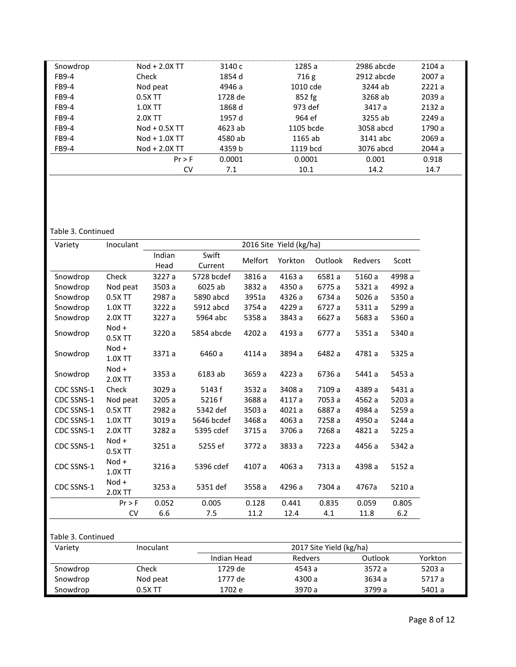| Snowdrop | Nod + 2.0X TT   | 3140 с  | 1285 a    | 2986 abcde | 2104a  |
|----------|-----------------|---------|-----------|------------|--------|
| FB9-4    | Check           | 1854 d  | 716g      | 2912 abcde | 2007 a |
| FB9-4    | Nod peat        | 4946 a  | 1010 cde  | 3244 ab    | 2221a  |
| FB9-4    | $0.5X$ TT       | 1728 de | $852$ fg  | 3268 ab    | 2039a  |
| FB9-4    | $1.0X$ TT       | 1868 d  | 973 def   | 3417 a     | 2132a  |
| FB9-4    | 2.0X TT         | 1957 d  | 964 ef    | 3255 ab    | 2249a  |
| FB9-4    | Nod + 0.5X TT   | 4623 ab | 1105 bcde | 3058 abcd  | 1790 a |
| FB9-4    | $Nod + 1.0X$ TT | 4580 ab | 1165 ab   | 3141 abc   | 2069 a |
| FB9-4    | Nod + 2.0X TT   | 4359 b  | 1119 bcd  | 3076 abcd  | 2044 a |
|          | Pr > F          | 0.0001  | 0.0001    | 0.001      | 0.918  |
|          | CV              | 7.1     | 10.1      | 14.2       | 14.7   |

## Table 3. Continued

| Variety    | Inoculant          | 2016 Site Yield (kg/ha) |            |         |         |         |         |        |
|------------|--------------------|-------------------------|------------|---------|---------|---------|---------|--------|
|            |                    | Indian                  | Swift      |         | Yorkton |         |         |        |
|            |                    | Head                    | Current    | Melfort |         | Outlook | Redvers | Scott  |
| Snowdrop   | Check              | 3227 a                  | 5728 bcdef | 3816 a  | 4163 a  | 6581 a  | 5160 a  | 4998 a |
| Snowdrop   | Nod peat           | 3503 a                  | 6025 ab    | 3832 a  | 4350 a  | 6775 a  | 5321 a  | 4992 a |
| Snowdrop   | 0.5X TT            | 2987 a                  | 5890 abcd  | 3951a   | 4326 a  | 6734 a  | 5026 a  | 5350 a |
| Snowdrop   | 1.0X TT            | 3222 a                  | 5912 abcd  | 3754 a  | 4229 a  | 6727 a  | 5311 a  | 5299 a |
| Snowdrop   | 2.0X TT            | 3227 a                  | 5964 abc   | 5358 a  | 3843 a  | 6627 a  | 5683 a  | 5360 a |
| Snowdrop   | Nod +<br>0.5X TT   | 3220 a                  | 5854 abcde | 4202 a  | 4193 a  | 6777 a  | 5351 a  | 5340 a |
| Snowdrop   | Nod +<br>1.0X TT   | 3371 a                  | 6460 a     | 4114 a  | 3894 a  | 6482 a  | 4781 a  | 5325 a |
| Snowdrop   | Nod +<br>2.0X TT   | 3353 a                  | 6183 ab    | 3659 a  | 4223 a  | 6736 a  | 5441 a  | 5453 a |
| CDC SSNS-1 | Check              | 3029 a                  | 5143 f     | 3532 a  | 3408 a  | 7109 a  | 4389 a  | 5431 a |
| CDC SSNS-1 | Nod peat           | 3205 a                  | 5216 f     | 3688 a  | 4117 a  | 7053 a  | 4562 a  | 5203 a |
| CDC SSNS-1 | 0.5X TT            | 2982 a                  | 5342 def   | 3503 a  | 4021 a  | 6887 a  | 4984 a  | 5259 a |
| CDC SSNS-1 | 1.0X TT            | 3019 a                  | 5646 bcdef | 3468 a  | 4063 a  | 7258 a  | 4950 a  | 5244 a |
| CDC SSNS-1 | 2.0X TT            | 3282 a                  | 5395 cdef  | 3715 a  | 3706 a  | 7268 a  | 4821 a  | 5225 a |
| CDC SSNS-1 | Nod +<br>$0.5X$ TT | 3251 a                  | 5255 ef    | 3772 a  | 3833 a  | 7223 a  | 4456 a  | 5342 a |
| CDC SSNS-1 | Nod +<br>1.0X TT   | 3216 a                  | 5396 cdef  | 4107 a  | 4063 a  | 7313 a  | 4398 a  | 5152 a |
| CDC SSNS-1 | Nod +<br>2.0X TT   | 3253 a                  | 5351 def   | 3558 a  | 4296 a  | 7304 a  | 4767a   | 5210 a |
|            | Pr > F             | 0.052                   | 0.005      | 0.128   | 0.441   | 0.835   | 0.059   | 0.805  |
|            | <b>CV</b>          | 6.6                     | 7.5        | 11.2    | 12.4    | 4.1     | 11.8    | 6.2    |

| Variety  | Inoculant | 2017 Site Yield (kg/ha) |         |         |         |  |  |  |
|----------|-----------|-------------------------|---------|---------|---------|--|--|--|
|          |           | Indian Head             | Redvers | Outlook | Yorkton |  |  |  |
| Snowdrop | Check     | 1729 de                 | 4543 a  | 3572 a  | 5203 a  |  |  |  |
| Snowdrop | Nod peat  | 1777 de                 | 4300 a  | 3634 a  | 5717 a  |  |  |  |
| Snowdrop | $0.5X$ TT | 1702 e                  | 3970 a  | 3799 a  | 5401 a  |  |  |  |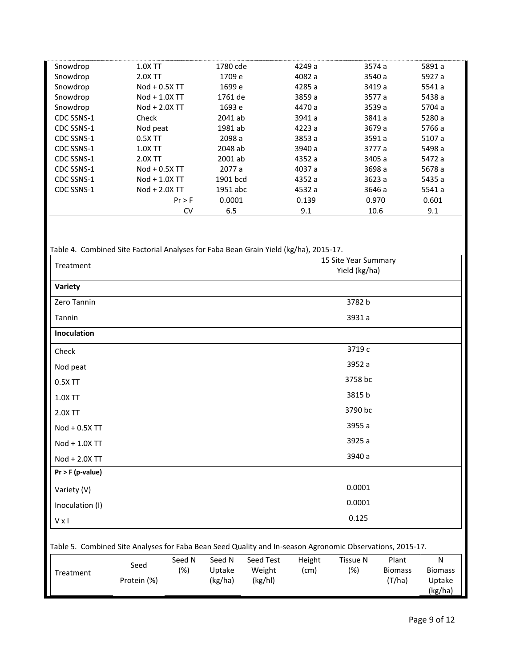| Snowdrop   | 1.0X TT       | 1780 cde | 4249 a | 3574 a | 5891 a |
|------------|---------------|----------|--------|--------|--------|
| Snowdrop   | 2.0X TT       | 1709 e   | 4082 a | 3540 a | 5927 a |
| Snowdrop   | Nod + 0.5X TT | 1699 e   | 4285 a | 3419 a | 5541 a |
| Snowdrop   | Nod + 1.0X TT | 1761 de  | 3859 a | 3577 a | 5438 a |
| Snowdrop   | Nod + 2.0X TT | 1693 e   | 4470 a | 3539 a | 5704 a |
| CDC SSNS-1 | Check         | 2041 ab  | 3941 a | 3841 a | 5280 a |
| CDC SSNS-1 | Nod peat      | 1981 ab  | 4223 a | 3679 a | 5766 a |
| CDC SSNS-1 | $0.5X$ TT     | 2098 a   | 3853 a | 3591 a | 5107 a |
| CDC SSNS-1 | 1.0X TT       | 2048 ab  | 3940 a | 3777 a | 5498 a |
| CDC SSNS-1 | 2.0X TT       | 2001 ab  | 4352 a | 3405 a | 5472 a |
| CDC SSNS-1 | Nod + 0.5X TT | 2077 a   | 4037 a | 3698 a | 5678 a |
| CDC SSNS-1 | Nod + 1.0X TT | 1901 bcd | 4352 a | 3623 a | 5435 a |
| CDC SSNS-1 | Nod + 2.0X TT | 1951 abc | 4532 a | 3646 a | 5541 a |
|            | Pr > F        | 0.0001   | 0.139  | 0.970  | 0.601  |
|            | <b>CV</b>     | 6.5      | 9.1    | 10.6   | 9.1    |

| Treatment                                                                                                 |             |        |                   |                   |        | 15 Site Year Summary<br>Yield (kg/ha) |                          |                                     |
|-----------------------------------------------------------------------------------------------------------|-------------|--------|-------------------|-------------------|--------|---------------------------------------|--------------------------|-------------------------------------|
| Variety                                                                                                   |             |        |                   |                   |        |                                       |                          |                                     |
| Zero Tannin                                                                                               |             |        |                   |                   |        | 3782 b                                |                          |                                     |
| Tannin                                                                                                    |             |        |                   |                   |        | 3931 a                                |                          |                                     |
| Inoculation                                                                                               |             |        |                   |                   |        |                                       |                          |                                     |
| Check                                                                                                     |             |        |                   |                   |        | 3719 c                                |                          |                                     |
| Nod peat                                                                                                  |             |        |                   |                   |        | 3952 a                                |                          |                                     |
| 0.5X TT                                                                                                   |             |        |                   |                   |        | 3758 bc                               |                          |                                     |
| 1.0X TT                                                                                                   |             |        |                   |                   |        | 3815 b                                |                          |                                     |
| 2.0X TT                                                                                                   |             |        |                   |                   |        | 3790 bc                               |                          |                                     |
| Nod + 0.5X TT                                                                                             |             |        |                   |                   |        | 3955 a                                |                          |                                     |
| Nod + 1.0X TT                                                                                             |             |        |                   |                   |        | 3925 a                                |                          |                                     |
| Nod + 2.0X TT                                                                                             |             |        |                   |                   |        | 3940 a                                |                          |                                     |
| $Pr$ > F (p-value)                                                                                        |             |        |                   |                   |        |                                       |                          |                                     |
| Variety (V)                                                                                               |             |        |                   |                   |        | 0.0001                                |                          |                                     |
| Inoculation (I)                                                                                           |             |        |                   |                   |        | 0.0001                                |                          |                                     |
| $V \times I$                                                                                              |             |        |                   |                   |        | 0.125                                 |                          |                                     |
| Table 5. Combined Site Analyses for Faba Bean Seed Quality and In-season Agronomic Observations, 2015-17. |             |        |                   |                   |        |                                       |                          |                                     |
|                                                                                                           | Seed        | Seed N | Seed N            | Seed Test         | Height | <b>Tissue N</b>                       | Plant                    | N                                   |
| Treatment                                                                                                 | Protein (%) | (%)    | Uptake<br>(kg/ha) | Weight<br>(kg/hl) | (cm)   | (%)                                   | <b>Biomass</b><br>(T/ha) | <b>Biomass</b><br>Uptake<br>(kg/ha) |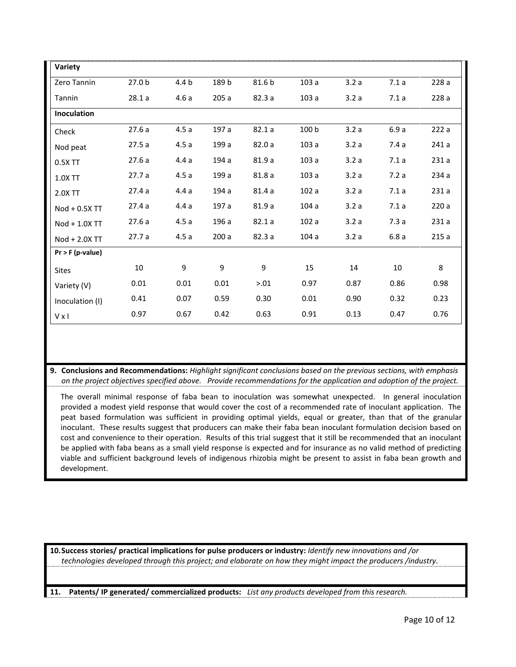| Variety            |        |                  |       |        |       |      |      |       |
|--------------------|--------|------------------|-------|--------|-------|------|------|-------|
| Zero Tannin        | 27.0 b | 4.4 <sub>b</sub> | 189 b | 81.6 b | 103a  | 3.2a | 7.1a | 228 a |
| Tannin             | 28.1a  | 4.6a             | 205a  | 82.3 a | 103a  | 3.2a | 7.1a | 228 a |
| Inoculation        |        |                  |       |        |       |      |      |       |
| Check              | 27.6a  | 4.5a             | 197 a | 82.1a  | 100 b | 3.2a | 6.9a | 222 a |
| Nod peat           | 27.5a  | 4.5a             | 199 a | 82.0 a | 103a  | 3.2a | 7.4a | 241a  |
| 0.5X TT            | 27.6a  | 4.4a             | 194 a | 81.9 a | 103a  | 3.2a | 7.1a | 231a  |
| 1.0X TT            | 27.7 a | 4.5a             | 199 a | 81.8 a | 103a  | 3.2a | 7.2a | 234 a |
| 2.0X TT            | 27.4a  | 4.4a             | 194 a | 81.4a  | 102a  | 3.2a | 7.1a | 231a  |
| Nod + 0.5X TT      | 27.4a  | 4.4a             | 197 a | 81.9 a | 104a  | 3.2a | 7.1a | 220 a |
| Nod + 1.0X TT      | 27.6a  | 4.5a             | 196 a | 82.1a  | 102a  | 3.2a | 7.3a | 231a  |
| Nod + 2.0X TT      | 27.7a  | 4.5a             | 200 a | 82.3 a | 104a  | 3.2a | 6.8a | 215a  |
| $Pr$ > F (p-value) |        |                  |       |        |       |      |      |       |
| <b>Sites</b>       | 10     | 9                | 9     | 9      | 15    | 14   | 10   | 8     |
| Variety (V)        | 0.01   | 0.01             | 0.01  | > 0.01 | 0.97  | 0.87 | 0.86 | 0.98  |
| Inoculation (I)    | 0.41   | 0.07             | 0.59  | 0.30   | 0.01  | 0.90 | 0.32 | 0.23  |
| $V \times I$       | 0.97   | 0.67             | 0.42  | 0.63   | 0.91  | 0.13 | 0.47 | 0.76  |

9. Conclusions and Recommendations: Highlight significant conclusions based on the previous sections, with emphasis on the project objectives specified above. Provide recommendations for the application and adoption of the project.

The overall minimal response of faba bean to inoculation was somewhat unexpected. In general inoculation provided a modest yield response that would cover the cost of a recommended rate of inoculant application. The peat based formulation was sufficient in providing optimal yields, equal or greater, than that of the granular inoculant. These results suggest that producers can make their faba bean inoculant formulation decision based on cost and convenience to their operation. Results of this trial suggest that it still be recommended that an inoculant be applied with faba beans as a small yield response is expected and for insurance as no valid method of predicting viable and sufficient background levels of indigenous rhizobia might be present to assist in faba bean growth and development.

10. Success stories/ practical implications for pulse producers or industry: Identify new innovations and /or technologies developed through this project; and elaborate on how they might impact the producers /industry.

Patents/IP generated/ commercialized products: List any products developed from this research. 11.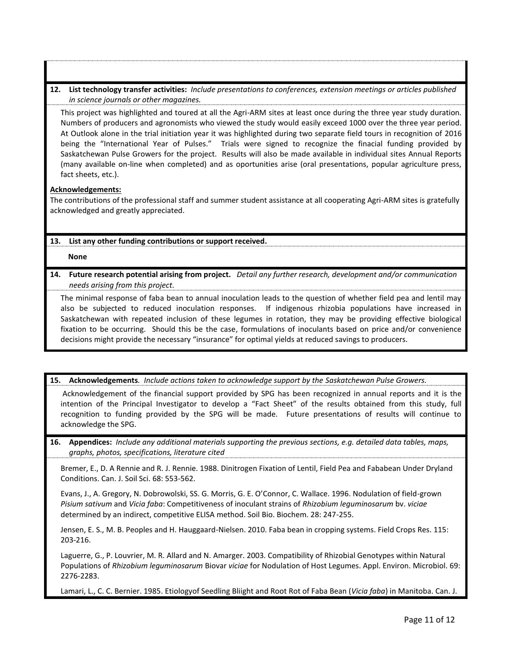**12. List technology transfer activities:** *Include presentations to conferences, extension meetings or articles published in science journals or other magazines.*

This project was highlighted and toured at all the Agri-ARM sites at least once during the three year study duration. Numbers of producers and agronomists who viewed the study would easily exceed 1000 over the three year period. At Outlook alone in the trial initiation year it was highlighted during two separate field tours in recognition of 2016 being the "International Year of Pulses." Trials were signed to recognize the finacial funding provided by Saskatchewan Pulse Growers for the project. Results will also be made available in individual sites Annual Reports (many available on-line when completed) and as oportunities arise (oral presentations, popular agriculture press, fact sheets, etc.).

### **Acknowledgements:**

The contributions of the professional staff and summer student assistance at all cooperating Agri-ARM sites is gratefully acknowledged and greatly appreciated.

## **13. List any other funding contributions or support received.**

**None**

**14. Future research potential arising from project.** *Detail any further research, development and/or communication needs arising from this project.* 

The minimal response of faba bean to annual inoculation leads to the question of whether field pea and lentil may also be subjected to reduced inoculation responses. If indigenous rhizobia populations have increased in Saskatchewan with repeated inclusion of these legumes in rotation, they may be providing effective biological fixation to be occurring. Should this be the case, formulations of inoculants based on price and/or convenience decisions might provide the necessary "insurance" for optimal yields at reduced savings to producers.

## **15. Acknowledgements***. Include actions taken to acknowledge support by the Saskatchewan Pulse Growers.*

Acknowledgement of the financial support provided by SPG has been recognized in annual reports and it is the intention of the Principal Investigator to develop a "Fact Sheet" of the results obtained from this study, full recognition to funding provided by the SPG will be made. Future presentations of results will continue to acknowledge the SPG.

**16. Appendices:** *Include any additional materials supporting the previous sections, e.g. detailed data tables, maps, graphs, photos, specifications, literature cited*

Bremer, E., D. A Rennie and R. J. Rennie. 1988. Dinitrogen Fixation of Lentil, Field Pea and Fababean Under Dryland Conditions. Can. J. Soil Sci. 68: 553-562.

Evans, J., A. Gregory, N. Dobrowolski, SS. G. Morris, G. E. O'Connor, C. Wallace. 1996. Nodulation of field-grown *Pisium sativum* and *Vicia faba*: Competitiveness of inoculant strains of *Rhizobium leguminosarum* bv. *viciae* determined by an indirect, competitive ELISA method. Soil Bio. Biochem. 28: 247-255.

Jensen, E. S., M. B. Peoples and H. Hauggaard-Nielsen. 2010. Faba bean in cropping systems. Field Crops Res. 115: 203-216.

Laguerre, G., P. Louvrier, M. R. Allard and N. Amarger. 2003. Compatibility of Rhizobial Genotypes within Natural Populations of *Rhizobium leguminosarum* Biovar *viciae* for Nodulation of Host Legumes. Appl. Environ. Microbiol. 69: 2276-2283.

Lamari, L., C. C. Bernier. 1985. Etiologyof Seedling Bliight and Root Rot of Faba Bean (*Vicia faba*) in Manitoba. Can. J.